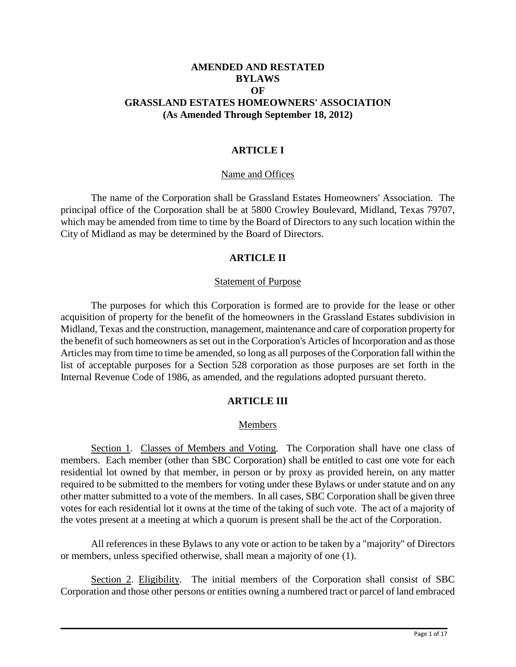# **AMENDED AND RESTATED BYLAWS OF GRASSLAND ESTATES HOMEOWNERS' ASSOCIATION (As Amended Through September 18, 2012)**

### **ARTICLE I**

#### Name and Offices

The name of the Corporation shall be Grassland Estates Homeowners' Association. The principal office of the Corporation shall be at 5800 Crowley Boulevard, Midland, Texas 79707, which may be amended from time to time by the Board of Directors to any such location within the City of Midland as may be determined by the Board of Directors.

### **ARTICLE II**

#### Statement of Purpose

The purposes for which this Corporation is formed are to provide for the lease or other acquisition of property for the benefit of the homeowners in the Grassland Estates subdivision in Midland, Texas and the construction, management, maintenance and care of corporation property for the benefit of such homeowners as set out in the Corporation's Articles of Incorporation and as those Articles may from time to time be amended, so long as all purposes of the Corporation fall within the list of acceptable purposes for a Section 528 corporation as those purposes are set forth in the Internal Revenue Code of 1986, as amended, and the regulations adopted pursuant thereto.

## **ARTICLE III**

#### Members

Section 1. Classes of Members and Voting. The Corporation shall have one class of members. Each member (other than SBC Corporation) shall be entitled to cast one vote for each residential lot owned by that member, in person or by proxy as provided herein, on any matter required to be submitted to the members for voting under these Bylaws or under statute and on any other matter submitted to a vote of the members. In all cases, SBC Corporation shall be given three votes for each residential lot it owns at the time of the taking of such vote. The act of a majority of the votes present at a meeting at which a quorum is present shall be the act of the Corporation.

All references in these Bylaws to any vote or action to be taken by a "majority" of Directors or members, unless specified otherwise, shall mean a majority of one (1).

Section 2. Eligibility. The initial members of the Corporation shall consist of SBC Corporation and those other persons or entities owning a numbered tract or parcel of land embraced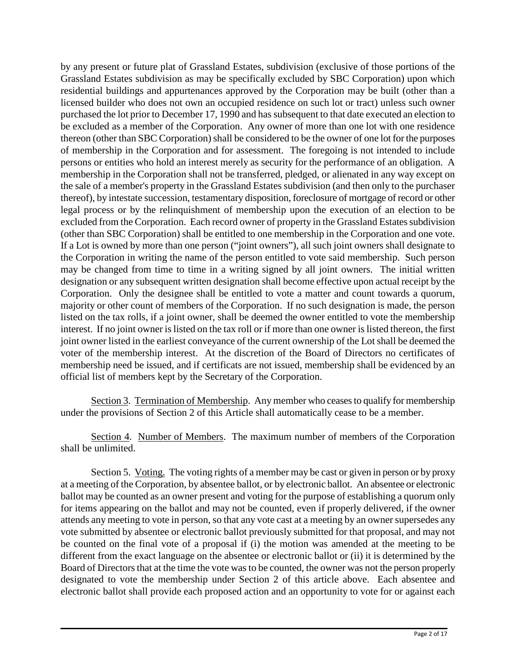by any present or future plat of Grassland Estates, subdivision (exclusive of those portions of the Grassland Estates subdivision as may be specifically excluded by SBC Corporation) upon which residential buildings and appurtenances approved by the Corporation may be built (other than a licensed builder who does not own an occupied residence on such lot or tract) unless such owner purchased the lot prior to December 17, 1990 and has subsequent to that date executed an election to be excluded as a member of the Corporation. Any owner of more than one lot with one residence thereon (other than SBC Corporation) shall be considered to be the owner of one lot for the purposes of membership in the Corporation and for assessment. The foregoing is not intended to include persons or entities who hold an interest merely as security for the performance of an obligation. A membership in the Corporation shall not be transferred, pledged, or alienated in any way except on the sale of a member's property in the Grassland Estates subdivision (and then only to the purchaser thereof), by intestate succession, testamentary disposition, foreclosure of mortgage of record or other legal process or by the relinquishment of membership upon the execution of an election to be excluded from the Corporation. Each record owner of property in the Grassland Estates subdivision (other than SBC Corporation) shall be entitled to one membership in the Corporation and one vote. If a Lot is owned by more than one person ("joint owners"), all such joint owners shall designate to the Corporation in writing the name of the person entitled to vote said membership. Such person may be changed from time to time in a writing signed by all joint owners. The initial written designation or any subsequent written designation shall become effective upon actual receipt by the Corporation. Only the designee shall be entitled to vote a matter and count towards a quorum, majority or other count of members of the Corporation. If no such designation is made, the person listed on the tax rolls, if a joint owner, shall be deemed the owner entitled to vote the membership interest. If no joint owner is listed on the tax roll or if more than one owner is listed thereon, the first joint owner listed in the earliest conveyance of the current ownership of the Lot shall be deemed the voter of the membership interest. At the discretion of the Board of Directors no certificates of membership need be issued, and if certificats are not issued, membership shall be evidenced by an official list of members kept by the Secretary of the Corporation.

Section 3. Termination of Membership. Any member who ceases to qualify for membership under the provisions of Section 2 of this Article shall automatically cease to be a member.

Section 4. Number of Members. The maximum number of members of the Corporation shall be unlimited.

Section 5. Voting. The voting rights of a member may be cast or given in person or by proxy at a meeting of the Corporation, by absentee ballot, or by electronic ballot. An absentee or electronic ballot may be counted as an owner present and voting for the purpose of establishing a quorum only for items appearing on the ballot and may not be counted, even if properly delivered, if the owner attends any meeting to vote in person, so that any vote cast at a meeting by an owner supersedes any vote submitted by absentee or electronic ballot previously submitted for that proposal, and may not be counted on the final vote of a proposal if (i) the motion was amended at the meeting to be different from the exact language on the absentee or electronic ballot or (ii) it is determined by the Board of Directors that at the time the vote was to be counted, the owner was not the person properly designated to vote the membership under Section 2 of this article above. Each absentee and electronic ballot shall provide each proposed action and an opportunity to vote for or against each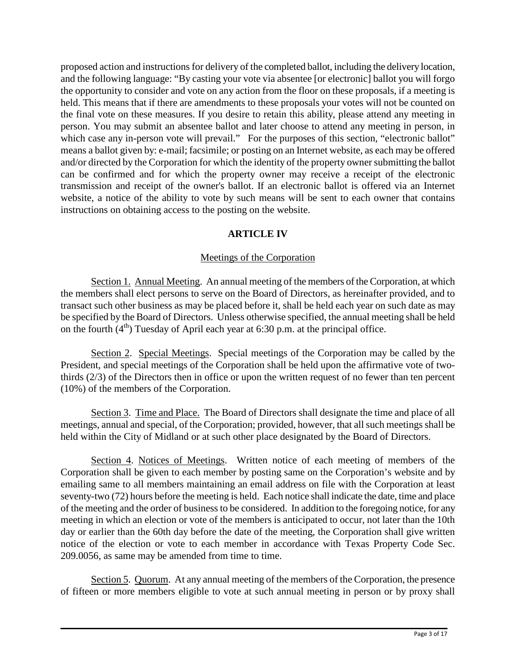proposed action and instructions for delivery of the completed ballot, including the delivery location, and the following language: "By casting your vote via absentee [or electronic] ballot you will forgo the opportunity to consider and vote on any action from the floor on these proposals, if a meeting is held. This means that if there are amendments to these proposals your votes will not be counted on the final vote on these measures. If you desire to retain this ability, please attend any meeting in person. You may submit an absentee ballot and later choose to attend any meeting in person, in which case any in-person vote will prevail." For the purposes of this section, "electronic ballot" means a ballot given by: e-mail; facsimile; or posting on an Internet website, as each may be offered and/or directed by the Corporation for which the identity of the property owner submitting the ballot can be confirmed and for which the property owner may receive a receipt of the electronic transmission and receipt of the owner's ballot. If an electronic ballot is offered via an Internet website, a notice of the ability to vote by such means will be sent to each owner that contains instructions on obtaining access to the posting on the website.

# **ARTICLE IV**

# Meetings of the Corporation

Section 1. Annual Meeting. An annual meeting of the members of the Corporation, at which the members shall elect persons to serve on the Board of Directors, as hereinafter provided, and to transact such other business as may be placed before it, shall be held each year on such date as may be specified by the Board of Directors. Unless otherwise specified, the annual meeting shall be held on the fourth  $(4<sup>th</sup>)$  Tuesday of April each year at 6:30 p.m. at the principal office.

Section 2. Special Meetings. Special meetings of the Corporation may be called by the President, and special meetings of the Corporation shall be held upon the affirmative vote of twothirds (2/3) of the Directors then in office or upon the written request of no fewer than ten percent (10%) of the members of the Corporation.

Section 3. Time and Place. The Board of Directors shall designate the time and place of all meetings, annual and special, of the Corporation; provided, however, that all such meetings shall be held within the City of Midland or at such other place designated by the Board of Directors.

Section 4. Notices of Meetings. Written notice of each meeting of members of the Corporation shall be given to each member by posting same on the Corporation's website and by emailing same to all members maintaining an email address on file with the Corporation at least seventy-two (72) hours before the meeting is held. Each notice shall indicate the date, time and place of the meeting and the order of business to be considered. In addition to the foregoing notice, for any meeting in which an election or vote of the members is anticipated to occur, not later than the 10th day or earlier than the 60th day before the date of the meeting, the Corporation shall give written notice of the election or vote to each member in accordance with Texas Property Code Sec. 209.0056, as same may be amended from time to time.

Section 5. Quorum. At any annual meeting of the members of the Corporation, the presence of fifteen or more members eligible to vote at such annual meeting in person or by proxy shall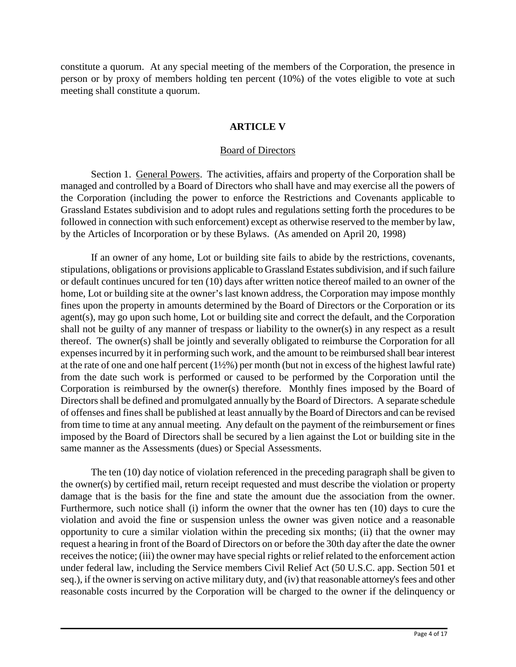constitute a quorum. At any special meeting of the members of the Corporation, the presence in person or by proxy of members holding ten percent (10%) of the votes eligible to vote at such meeting shall constitute a quorum.

# **ARTICLE V**

### Board of Directors

Section 1. General Powers. The activities, affairs and property of the Corporation shall be managed and controlled by a Board of Directors who shall have and may exercise all the powers of the Corporation (including the power to enforce the Restrictions and Covenants applicable to Grassland Estates subdivision and to adopt rules and regulations setting forth the procedures to be followed in connection with such enforcement) except as otherwise reserved to the member by law, by the Articles of Incorporation or by these Bylaws. (As amended on April 20, 1998)

If an owner of any home, Lot or building site fails to abide by the restrictions, covenants, stipulations, obligations or provisions applicable to Grassland Estates subdivision, and if such failure or default continues uncured for ten (10) days after written notice thereof mailed to an owner of the home, Lot or building site at the owner's last known address, the Corporation may impose monthly fines upon the property in amounts determined by the Board of Directors or the Corporation or its agent(s), may go upon such home, Lot or building site and correct the default, and the Corporation shall not be guilty of any manner of trespass or liability to the owner(s) in any respect as a result thereof. The owner(s) shall be jointly and severally obligated to reimburse the Corporation for all expenses incurred by it in performing such work, and the amount to be reimbursed shall bear interest at the rate of one and one half percent (1½%) per month (but not in excess of the highest lawful rate) from the date such work is performed or caused to be performed by the Corporation until the Corporation is reimbursed by the owner(s) therefore. Monthly fines imposed by the Board of Directors shall be defined and promulgated annually by the Board of Directors. A separate schedule of offenses and fines shall be published at least annually by the Board of Directors and can be revised from time to time at any annual meeting. Any default on the payment of the reimbursement or fines imposed by the Board of Directors shall be secured by a lien against the Lot or building site in the same manner as the Assessments (dues) or Special Assessments.

The ten (10) day notice of violation referenced in the preceding paragraph shall be given to the owner(s) by certified mail, return receipt requested and must describe the violation or property damage that is the basis for the fine and state the amount due the association from the owner. Furthermore, such notice shall (i) inform the owner that the owner has ten (10) days to cure the violation and avoid the fine or suspension unless the owner was given notice and a reasonable opportunity to cure a similar violation within the preceding six months; (ii) that the owner may request a hearing in front of the Board of Directors on or before the 30th day after the date the owner receives the notice; (iii) the owner may have special rights or relief related to the enforcement action under federal law, including the Service members Civil Relief Act (50 U.S.C. app. Section 501 et seq.), if the owner is serving on active military duty, and (iv) that reasonable attorney's fees and other reasonable costs incurred by the Corporation will be charged to the owner if the delinquency or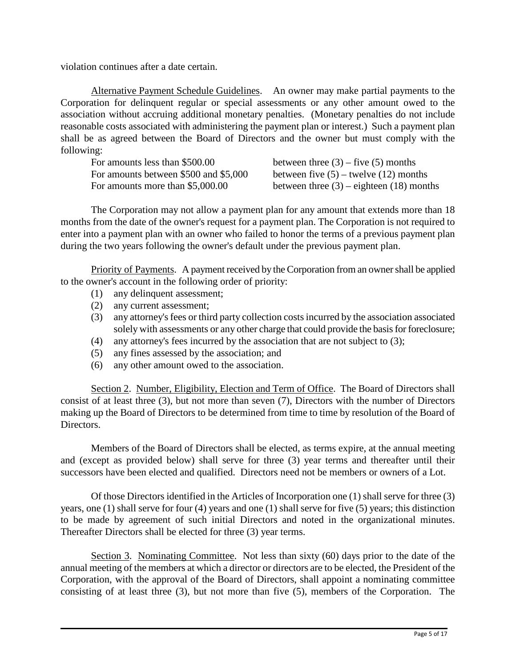violation continues after a date certain.

Alternative Payment Schedule Guidelines. An owner may make partial payments to the Corporation for delinquent regular or special assessments or any other amount owed to the association without accruing additional monetary penalties. (Monetary penalties do not include reasonable costs associated with administering the payment plan or interest.) Such a payment plan shall be as agreed between the Board of Directors and the owner but must comply with the following:

| For amounts less than \$500.00        | between three $(3)$ – five $(5)$ months      |
|---------------------------------------|----------------------------------------------|
| For amounts between \$500 and \$5,000 | between five $(5)$ – twelve $(12)$ months    |
| For amounts more than \$5,000.00      | between three $(3)$ – eighteen $(18)$ months |

The Corporation may not allow a payment plan for any amount that extends more than 18 months from the date of the owner's request for a payment plan. The Corporation is not required to enter into a payment plan with an owner who failed to honor the terms of a previous payment plan during the two years following the owner's default under the previous payment plan.

Priority of Payments. A payment received by the Corporation from an owner shall be applied to the owner's account in the following order of priority:

- (1) any delinquent assessment;
- (2) any current assessment;
- (3) any attorney's fees or third party collection costs incurred by the association associated solely with assessments or any other charge that could provide the basis for foreclosure;
- (4) any attorney's fees incurred by the association that are not subject to (3);
- (5) any fines assessed by the association; and
- (6) any other amount owed to the association.

Section 2. Number, Eligibility, Election and Term of Office. The Board of Directors shall consist of at least three (3), but not more than seven (7), Directors with the number of Directors making up the Board of Directors to be determined from time to time by resolution of the Board of **Directors** 

Members of the Board of Directors shall be elected, as terms expire, at the annual meeting and (except as provided below) shall serve for three (3) year terms and thereafter until their successors have been elected and qualified. Directors need not be members or owners of a Lot.

Of those Directors identified in the Articles of Incorporation one (1) shall serve for three (3) years, one (1) shall serve for four (4) years and one (1) shall serve for five (5) years; this distinction to be made by agreement of such initial Directors and noted in the organizational minutes. Thereafter Directors shall be elected for three (3) year terms.

Section 3. Nominating Committee. Not less than sixty (60) days prior to the date of the annual meeting of the members at which a director or directors are to be elected, the President of the Corporation, with the approval of the Board of Directors, shall appoint a nominating committee consisting of at least three (3), but not more than five (5), members of the Corporation. The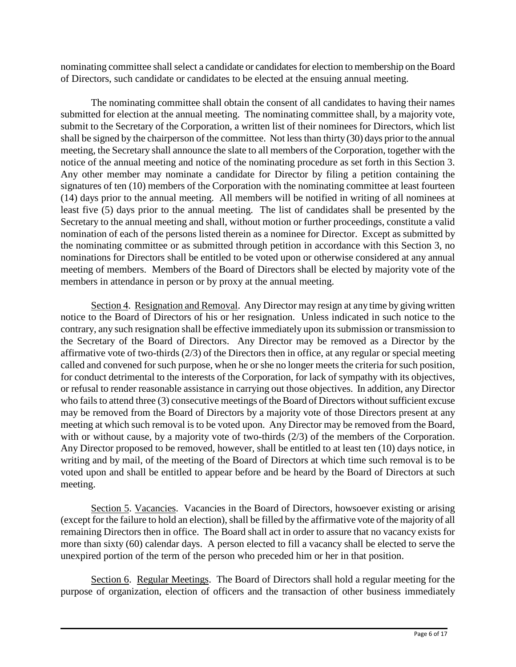nominating committee shall select a candidate or candidates for election to membership on the Board of Directors, such candidate or candidates to be elected at the ensuing annual meeting.

The nominating committee shall obtain the consent of all candidates to having their names submitted for election at the annual meeting. The nominating committee shall, by a majority vote, submit to the Secretary of the Corporation, a written list of their nominees for Directors, which list shall be signed by the chairperson of the committee. Not less than thirty (30) days prior to the annual meeting, the Secretary shall announce the slate to all members of the Corporation, together with the notice of the annual meeting and notice of the nominating procedure as set forth in this Section 3. Any other member may nominate a candidate for Director by filing a petition containing the signatures of ten (10) members of the Corporation with the nominating committee at least fourteen (14) days prior to the annual meeting. All members will be notified in writing of all nominees at least five (5) days prior to the annual meeting. The list of candidates shall be presented by the Secretary to the annual meeting and shall, without motion or further proceedings, constitute a valid nomination of each of the persons listed therein as a nominee for Director. Except as submitted by the nominating committee or as submitted through petition in accordance with this Section 3, no nominations for Directors shall be entitled to be voted upon or otherwise considered at any annual meeting of members. Members of the Board of Directors shall be elected by majority vote of the members in attendance in person or by proxy at the annual meeting.

Section 4. Resignation and Removal. Any Director may resign at any time by giving written notice to the Board of Directors of his or her resignation. Unless indicated in such notice to the contrary, any such resignation shall be effective immediately upon its submission or transmission to the Secretary of the Board of Directors. Any Director may be removed as a Director by the affirmative vote of two-thirds (2/3) of the Directors then in office, at any regular or special meeting called and convened for such purpose, when he or she no longer meets the criteria for such position, for conduct detrimental to the interests of the Corporation, for lack of sympathy with its objectives, or refusal to render reasonable assistance in carrying out those objectives. In addition, any Director who fails to attend three (3) consecutive meetings of the Board of Directors without sufficient excuse may be removed from the Board of Directors by a majority vote of those Directors present at any meeting at which such removal is to be voted upon. Any Director may be removed from the Board, with or without cause, by a majority vote of two-thirds (2/3) of the members of the Corporation. Any Director proposed to be removed, however, shall be entitled to at least ten (10) days notice, in writing and by mail, of the meeting of the Board of Directors at which time such removal is to be voted upon and shall be entitled to appear before and be heard by the Board of Directors at such meeting.

Section 5. Vacancies. Vacancies in the Board of Directors, howsoever existing or arising (except for the failure to hold an election), shall be filled by the affirmative vote of the majority of all remaining Directors then in office. The Board shall act in order to assure that no vacancy exists for more than sixty (60) calendar days. A person elected to fill a vacancy shall be elected to serve the unexpired portion of the term of the person who preceded him or her in that position.

Section 6. Regular Meetings. The Board of Directors shall hold a regular meeting for the purpose of organization, election of officers and the transaction of other business immediately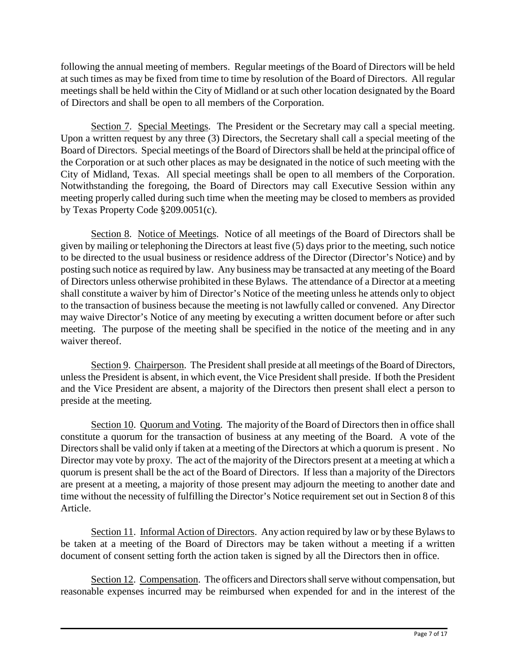following the annual meeting of members. Regular meetings of the Board of Directors will be held at such times as may be fixed from time to time by resolution of the Board of Directors. All regular meetings shall be held within the City of Midland or at such other location designated by the Board of Directors and shall be open to all members of the Corporation.

Section 7. Special Meetings. The President or the Secretary may call a special meeting. Upon a written request by any three (3) Directors, the Secretary shall call a special meeting of the Board of Directors. Special meetings of the Board of Directors shall be held at the principal office of the Corporation or at such other places as may be designated in the notice of such meeting with the City of Midland, Texas. All special meetings shall be open to all members of the Corporation. Notwithstanding the foregoing, the Board of Directors may call Executive Session within any meeting properly called during such time when the meeting may be closed to members as provided by Texas Property Code §209.0051(c).

Section 8. Notice of Meetings. Notice of all meetings of the Board of Directors shall be given by mailing or telephoning the Directors at least five (5) days prior to the meeting, such notice to be directed to the usual business or residence address of the Director (Director's Notice) and by posting such notice as required by law. Any business may be transacted at any meeting of the Board of Directors unless otherwise prohibited in these Bylaws. The attendance of a Director at a meeting shall constitute a waiver by him of Director's Notice of the meeting unless he attends only to object to the transaction of business because the meeting is not lawfully called or convened. Any Director may waive Director's Notice of any meeting by executing a written document before or after such meeting. The purpose of the meeting shall be specified in the notice of the meeting and in any waiver thereof.

Section 9. Chairperson. The President shall preside at all meetings of the Board of Directors, unless the President is absent, in which event, the Vice President shall preside. If both the President and the Vice President are absent, a majority of the Directors then present shall elect a person to preside at the meeting.

Section 10. Quorum and Voting. The majority of the Board of Directors then in office shall constitute a quorum for the transaction of business at any meeting of the Board. A vote of the Directors shall be valid only if taken at a meeting of the Directors at which a quorum is present . No Director may vote by proxy. The act of the majority of the Directors present at a meeting at which a quorum is present shall be the act of the Board of Directors. If less than a majority of the Directors are present at a meeting, a majority of those present may adjourn the meeting to another date and time without the necessity of fulfilling the Director's Notice requirement set out in Section 8 of this Article.

Section 11. Informal Action of Directors. Any action required by law or by these Bylaws to be taken at a meeting of the Board of Directors may be taken without a meeting if a written document of consent setting forth the action taken is signed by all the Directors then in office.

Section 12. Compensation. The officers and Directors shall serve without compensation, but reasonable expenses incurred may be reimbursed when expended for and in the interest of the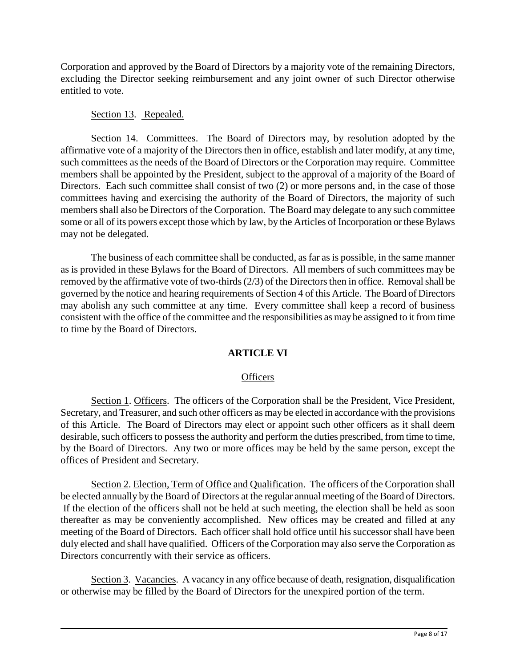Corporation and approved by the Board of Directors by a majority vote of the remaining Directors, excluding the Director seeking reimbursement and any joint owner of such Director otherwise entitled to vote.

# Section 13. Repealed.

Section 14. Committees. The Board of Directors may, by resolution adopted by the affirmative vote of a majority of the Directors then in office, establish and later modify, at any time, such committees as the needs of the Board of Directors or the Corporation may require. Committee members shall be appointed by the President, subject to the approval of a majority of the Board of Directors. Each such committee shall consist of two (2) or more persons and, in the case of those committees having and exercising the authority of the Board of Directors, the majority of such members shall also be Directors of the Corporation. The Board may delegate to any such committee some or all of its powers except those which by law, by the Articles of Incorporation or these Bylaws may not be delegated.

The business of each committee shall be conducted, as far as is possible, in the same manner as is provided in these Bylaws for the Board of Directors. All members of such committees may be removed by the affirmative vote of two-thirds (2/3) of the Directors then in office. Removal shall be governed by the notice and hearing requirements of Section 4 of this Article. The Board of Directors may abolish any such committee at any time. Every committee shall keep a record of business consistent with the office of the committee and the responsibilities as may be assigned to it from time to time by the Board of Directors.

# **ARTICLE VI**

# **Officers**

Section 1. Officers. The officers of the Corporation shall be the President, Vice President, Secretary, and Treasurer, and such other officers as may be elected in accordance with the provisions of this Article. The Board of Directors may elect or appoint such other officers as it shall deem desirable, such officers to possess the authority and perform the duties prescribed, from time to time, by the Board of Directors. Any two or more offices may be held by the same person, except the offices of President and Secretary.

Section 2. Election, Term of Office and Qualification. The officers of the Corporation shall be elected annually by the Board of Directors at the regular annual meeting of the Board of Directors. If the election of the officers shall not be held at such meeting, the election shall be held as soon thereafter as may be conveniently accomplished. New offices may be created and filled at any meeting of the Board of Directors. Each officer shall hold office until his successor shall have been duly elected and shall have qualified. Officers of the Corporation may also serve the Corporation as Directors concurrently with their service as officers.

Section 3. Vacancies. A vacancy in any office because of death, resignation, disqualification or otherwise may be filled by the Board of Directors for the unexpired portion of the term.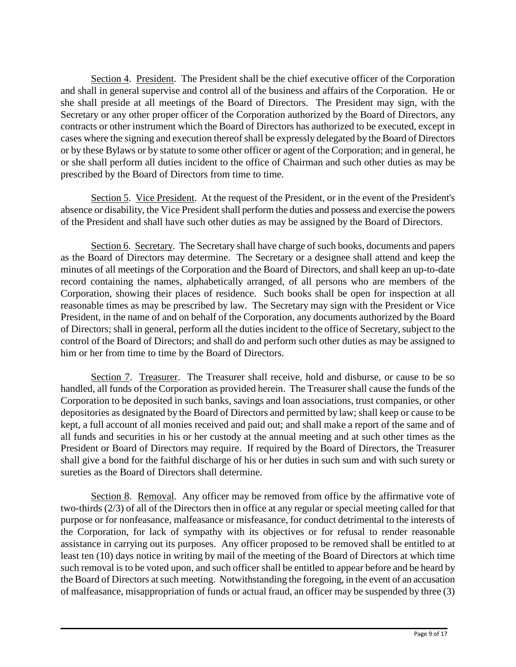Section 4. President. The President shall be the chief executive officer of the Corporation and shall in general supervise and control all of the business and affairs of the Corporation. He or she shall preside at all meetings of the Board of Directors. The President may sign, with the Secretary or any other proper officer of the Corporation authorized by the Board of Directors, any contracts or other instrument which the Board of Directors has authorized to be executed, except in cases where the signing and execution thereof shall be expressly delegated by the Board of Directors or by these Bylaws or by statute to some other officer or agent of the Corporation; and in general, he or she shall perform all duties incident to the office of Chairman and such other duties as may be prescribed by the Board of Directors from time to time.

Section 5. Vice President. At the request of the President, or in the event of the President's absence or disability, the Vice President shall perform the duties and possess and exercise the powers of the President and shall have such other duties as may be assigned by the Board of Directors.

Section 6. Secretary. The Secretary shall have charge of such books, documents and papers as the Board of Directors may determine. The Secretary or a designee shall attend and keep the minutes of all meetings of the Corporation and the Board of Directors, and shall keep an up-to-date record containing the names, alphabetically arranged, of all persons who are members of the Corporation, showing their places of residence. Such books shall be open for inspection at all reasonable times as may be prescribed by law. The Secretary may sign with the President or Vice President, in the name of and on behalf of the Corporation, any documents authorized by the Board of Directors; shall in general, perform all the duties incident to the office of Secretary, subject to the control of the Board of Directors; and shall do and perform such other duties as may be assigned to him or her from time to time by the Board of Directors.

Section 7. Treasurer. The Treasurer shall receive, hold and disburse, or cause to be so handled, all funds of the Corporation as provided herein. The Treasurer shall cause the funds of the Corporation to be deposited in such banks, savings and loan associations, trust companies, or other depositories as designated by the Board of Directors and permitted by law; shall keep or cause to be kept, a full account of all monies received and paid out; and shall make a report of the same and of all funds and securities in his or her custody at the annual meeting and at such other times as the President or Board of Directors may require. If required by the Board of Directors, the Treasurer shall give a bond for the faithful discharge of his or her duties in such sum and with such surety or sureties as the Board of Directors shall determine.

Section 8. Removal. Any officer may be removed from office by the affirmative vote of two-thirds (2/3) of all of the Directors then in office at any regular or special meeting called for that purpose or for nonfeasance, malfeasance or misfeasance, for conduct detrimental to the interests of the Corporation, for lack of sympathy with its objectives or for refusal to render reasonable assistance in carrying out its purposes. Any officer proposed to be removed shall be entitled to at least ten (10) days notice in writing by mail of the meeting of the Board of Directors at which time such removal is to be voted upon, and such officer shall be entitled to appear before and be heard by the Board of Directors at such meeting. Notwithstanding the foregoing, in the event of an accusation of malfeasance, misappropriation of funds or actual fraud, an officer may be suspended by three (3)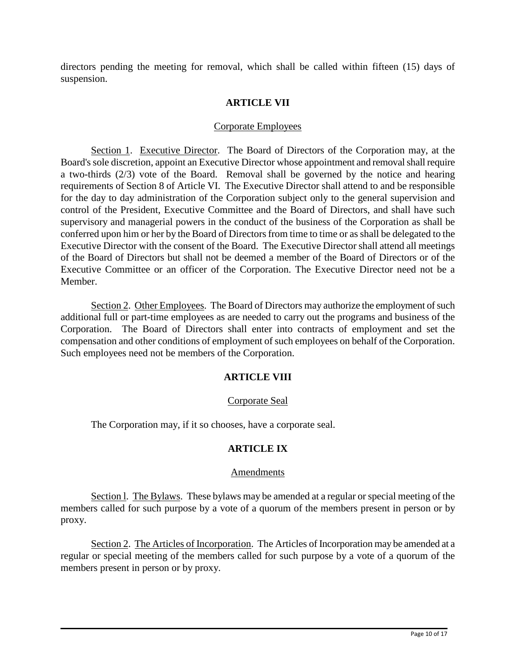directors pending the meeting for removal, which shall be called within fifteen (15) days of suspension.

## **ARTICLE VII**

### Corporate Employees

Section 1. Executive Director. The Board of Directors of the Corporation may, at the Board's sole discretion, appoint an Executive Director whose appointment and removal shall require a two-thirds (2/3) vote of the Board. Removal shall be governed by the notice and hearing requirements of Section 8 of Article VI. The Executive Director shall attend to and be responsible for the day to day administration of the Corporation subject only to the general supervision and control of the President, Executive Committee and the Board of Directors, and shall have such supervisory and managerial powers in the conduct of the business of the Corporation as shall be conferred upon him or her by the Board of Directors from time to time or as shall be delegated to the Executive Director with the consent of the Board. The Executive Director shall attend all meetings of the Board of Directors but shall not be deemed a member of the Board of Directors or of the Executive Committee or an officer of the Corporation. The Executive Director need not be a Member.

Section 2. Other Employees. The Board of Directors may authorize the employment of such additional full or part-time employees as are needed to carry out the programs and business of the Corporation. The Board of Directors shall enter into contracts of employment and set the compensation and other conditions of employment of such employees on behalf of the Corporation. Such employees need not be members of the Corporation.

## **ARTICLE VIII**

## Corporate Seal

The Corporation may, if it so chooses, have a corporate seal.

# **ARTICLE IX**

## Amendments

Section l. The Bylaws. These bylaws may be amended at a regular or special meeting of the members called for such purpose by a vote of a quorum of the members present in person or by proxy.

Section 2. The Articles of Incorporation. The Articles of Incorporation may be amended at a regular or special meeting of the members called for such purpose by a vote of a quorum of the members present in person or by proxy.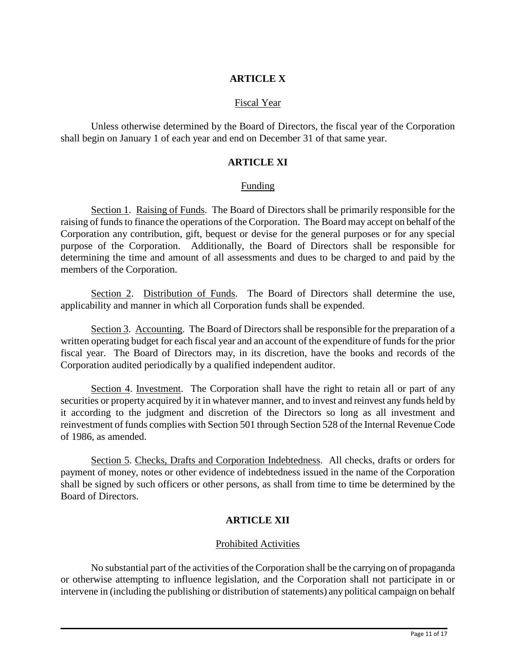# **ARTICLE X**

## Fiscal Year

Unless otherwise determined by the Board of Directors, the fiscal year of the Corporation shall begin on January 1 of each year and end on December 31 of that same year.

# **ARTICLE XI**

### Funding

Section 1. Raising of Funds. The Board of Directors shall be primarily responsible for the raising of funds to finance the operations of the Corporation. The Board may accept on behalf of the Corporation any contribution, gift, bequest or devise for the general purposes or for any special purpose of the Corporation. Additionally, the Board of Directors shall be responsible for determining the time and amount of all assessments and dues to be charged to and paid by the members of the Corporation.

Section 2. Distribution of Funds. The Board of Directors shall determine the use, applicability and manner in which all Corporation funds shall be expended.

Section 3. Accounting. The Board of Directors shall be responsible for the preparation of a written operating budget for each fiscal year and an account of the expenditure of funds for the prior fiscal year. The Board of Directors may, in its discretion, have the books and records of the Corporation audited periodically by a qualified independent auditor.

Section 4. Investment. The Corporation shall have the right to retain all or part of any securities or property acquired by it in whatever manner, and to invest and reinvest any funds held by it according to the judgment and discretion of the Directors so long as all investment and reinvestment of funds complies with Section 501 through Section 528 of the Internal Revenue Code of 1986, as amended.

Section 5. Checks, Drafts and Corporation Indebtedness. All checks, drafts or orders for payment of money, notes or other evidence of indebtedness issued in the name of the Corporation shall be signed by such officers or other persons, as shall from time to time be determined by the Board of Directors.

## **ARTICLE XII**

## Prohibited Activities

No substantial part of the activities of the Corporation shall be the carrying on of propaganda or otherwise attempting to influence legislation, and the Corporation shall not participate in or intervene in (including the publishing or distribution of statements) any political campaign on behalf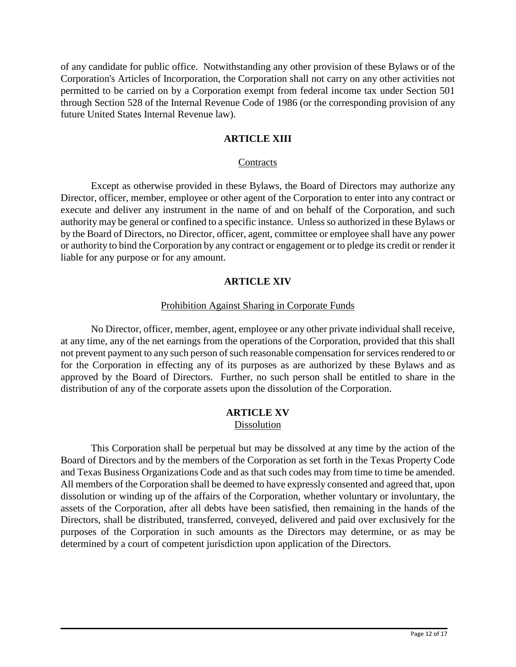of any candidate for public office. Notwithstanding any other provision of these Bylaws or of the Corporation's Articles of Incorporation, the Corporation shall not carry on any other activities not permitted to be carried on by a Corporation exempt from federal income tax under Section 501 through Section 528 of the Internal Revenue Code of 1986 (or the corresponding provision of any future United States Internal Revenue law).

# **ARTICLE XIII**

## **Contracts**

Except as otherwise provided in these Bylaws, the Board of Directors may authorize any Director, officer, member, employee or other agent of the Corporation to enter into any contract or execute and deliver any instrument in the name of and on behalf of the Corporation, and such authority may be general or confined to a specific instance. Unless so authorized in these Bylaws or by the Board of Directors, no Director, officer, agent, committee or employee shall have any power or authority to bind the Corporation by any contract or engagement or to pledge its credit or render it liable for any purpose or for any amount.

# **ARTICLE XIV**

# Prohibition Against Sharing in Corporate Funds

No Director, officer, member, agent, employee or any other private individual shall receive, at any time, any of the net earnings from the operations of the Corporation, provided that this shall not prevent payment to any such person of such reasonable compensation for services rendered to or for the Corporation in effecting any of its purposes as are authorized by these Bylaws and as approved by the Board of Directors. Further, no such person shall be entitled to share in the distribution of any of the corporate assets upon the dissolution of the Corporation.

## **ARTICLE XV** Dissolution

This Corporation shall be perpetual but may be dissolved at any time by the action of the Board of Directors and by the members of the Corporation as set forth in the Texas Property Code and Texas Business Organizations Code and as that such codes may from time to time be amended. All members of the Corporation shall be deemed to have expressly consented and agreed that, upon dissolution or winding up of the affairs of the Corporation, whether voluntary or involuntary, the assets of the Corporation, after all debts have been satisfied, then remaining in the hands of the Directors, shall be distributed, transferred, conveyed, delivered and paid over exclusively for the purposes of the Corporation in such amounts as the Directors may determine, or as may be determined by a court of competent jurisdiction upon application of the Directors.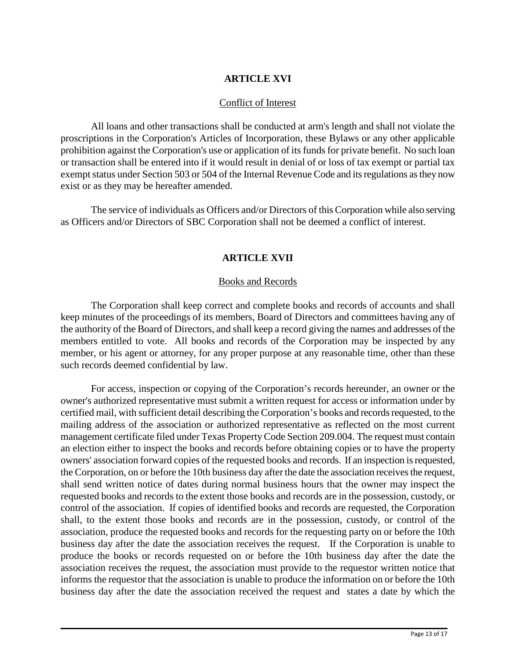# **ARTICLE XVI**

## Conflict of Interest

All loans and other transactions shall be conducted at arm's length and shall not violate the proscriptions in the Corporation's Articles of Incorporation, these Bylaws or any other applicable prohibition against the Corporation's use or application of its funds for private benefit. No such loan or transaction shall be entered into if it would result in denial of or loss of tax exempt or partial tax exempt status under Section 503 or 504 of the Internal Revenue Code and its regulations as they now exist or as they may be hereafter amended.

The service of individuals as Officers and/or Directors of this Corporation while also serving as Officers and/or Directors of SBC Corporation shall not be deemed a conflict of interest.

# **ARTICLE XVII**

# Books and Records

The Corporation shall keep correct and complete books and records of accounts and shall keep minutes of the proceedings of its members, Board of Directors and committees having any of the authority of the Board of Directors, and shall keep a record giving the names and addresses of the members entitled to vote. All books and records of the Corporation may be inspected by any member, or his agent or attorney, for any proper purpose at any reasonable time, other than these such records deemed confidential by law.

For access, inspection or copying of the Corporation's records hereunder, an owner or the owner's authorized representative must submit a written request for access or information under by certified mail, with sufficient detail describing the Corporation's books and records requested, to the mailing address of the association or authorized representative as reflected on the most current management certificate filed under Texas Property Code Section 209.004. The request must contain an election either to inspect the books and records before obtaining copies or to have the property owners' association forward copies of the requested books and records. If an inspection is requested, the Corporation, on or before the 10th business day after the date the association receives the request, shall send written notice of dates during normal business hours that the owner may inspect the requested books and records to the extent those books and records are in the possession, custody, or control of the association. If copies of identified books and records are requested, the Corporation shall, to the extent those books and records are in the possession, custody, or control of the association, produce the requested books and records for the requesting party on or before the 10th business day after the date the association receives the request. If the Corporation is unable to produce the books or records requested on or before the 10th business day after the date the association receives the request, the association must provide to the requestor written notice that informs the requestor that the association is unable to produce the information on or before the 10th business day after the date the association received the request and states a date by which the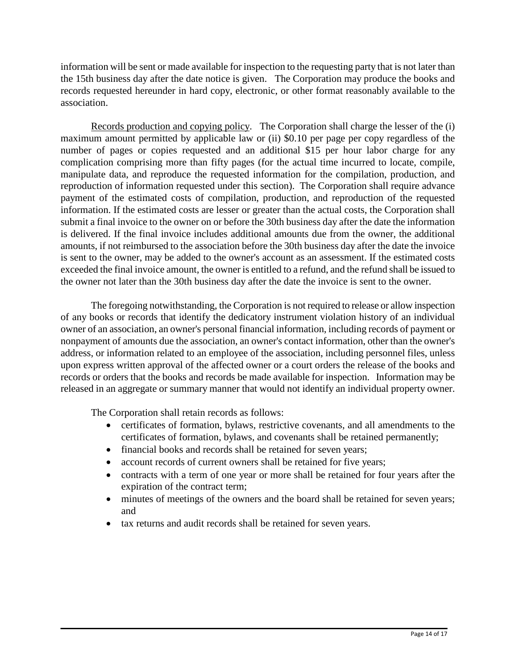information will be sent or made available for inspection to the requesting party that is not later than the 15th business day after the date notice is given. The Corporation may produce the books and records requested hereunder in hard copy, electronic, or other format reasonably available to the association.

Records production and copying policy. The Corporation shall charge the lesser of the (i) maximum amount permitted by applicable law or (ii) \$0.10 per page per copy regardless of the number of pages or copies requested and an additional \$15 per hour labor charge for any complication comprising more than fifty pages (for the actual time incurred to locate, compile, manipulate data, and reproduce the requested information for the compilation, production, and reproduction of information requested under this section). The Corporation shall require advance payment of the estimated costs of compilation, production, and reproduction of the requested information. If the estimated costs are lesser or greater than the actual costs, the Corporation shall submit a final invoice to the owner on or before the 30th business day after the date the information is delivered. If the final invoice includes additional amounts due from the owner, the additional amounts, if not reimbursed to the association before the 30th business day after the date the invoice is sent to the owner, may be added to the owner's account as an assessment. If the estimated costs exceeded the final invoice amount, the owner is entitled to a refund, and the refund shall be issued to the owner not later than the 30th business day after the date the invoice is sent to the owner.

The foregoing notwithstanding, the Corporation is not required to release or allow inspection of any books or records that identify the dedicatory instrument violation history of an individual owner of an association, an owner's personal financial information, including records of payment or nonpayment of amounts due the association, an owner's contact information, other than the owner's address, or information related to an employee of the association, including personnel files, unless upon express written approval of the affected owner or a court orders the release of the books and records or orders that the books and records be made available for inspection. Information may be released in an aggregate or summary manner that would not identify an individual property owner.

The Corporation shall retain records as follows:

- certificates of formation, bylaws, restrictive covenants, and all amendments to the certificates of formation, bylaws, and covenants shall be retained permanently;
- financial books and records shall be retained for seven years;
- account records of current owners shall be retained for five years;
- contracts with a term of one year or more shall be retained for four years after the expiration of the contract term;
- minutes of meetings of the owners and the board shall be retained for seven years; and
- tax returns and audit records shall be retained for seven years.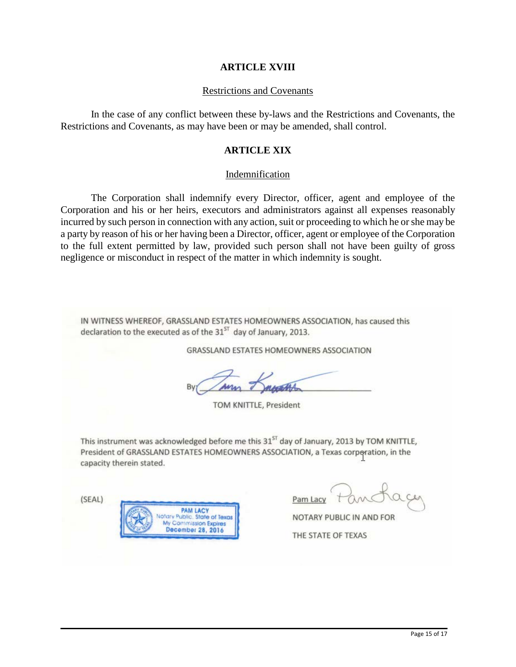## **ARTICLE XVIII**

#### Restrictions and Covenants

In the case of any conflict between these by-laws and the Restrictions and Covenants, the Restrictions and Covenants, as may have been or may be amended, shall control.

## **ARTICLE XIX**

#### Indemnification

The Corporation shall indemnify every Director, officer, agent and employee of the Corporation and his or her heirs, executors and administrators against all expenses reasonably incurred by such person in connection with any action, suit or proceeding to which he or she may be a party by reason of his or her having been a Director, officer, agent or employee of the Corporation to the full extent permitted by law, provided such person shall not have been guilty of gross negligence or misconduct in respect of the matter in which indemnity is sought.

IN WITNESS WHEREOF, GRASSLAND ESTATES HOMEOWNERS ASSOCIATION, has caused this declaration to the executed as of the  $31<sup>ST</sup>$  day of January, 2013.

**GRASSLAND ESTATES HOMEOWNERS ASSOCIATION** 

TOM KNITTLE, President

This instrument was acknowledged before me this 31<sup>ST</sup> day of January, 2013 by TOM KNITTLE, President of GRASSLAND ESTATES HOMEOWNERS ASSOCIATION, a Texas corporation, in the capacity therein stated.

(SEAL)



Pam Lacy

NOTARY PUBLIC IN AND FOR

THE STATE OF TEXAS